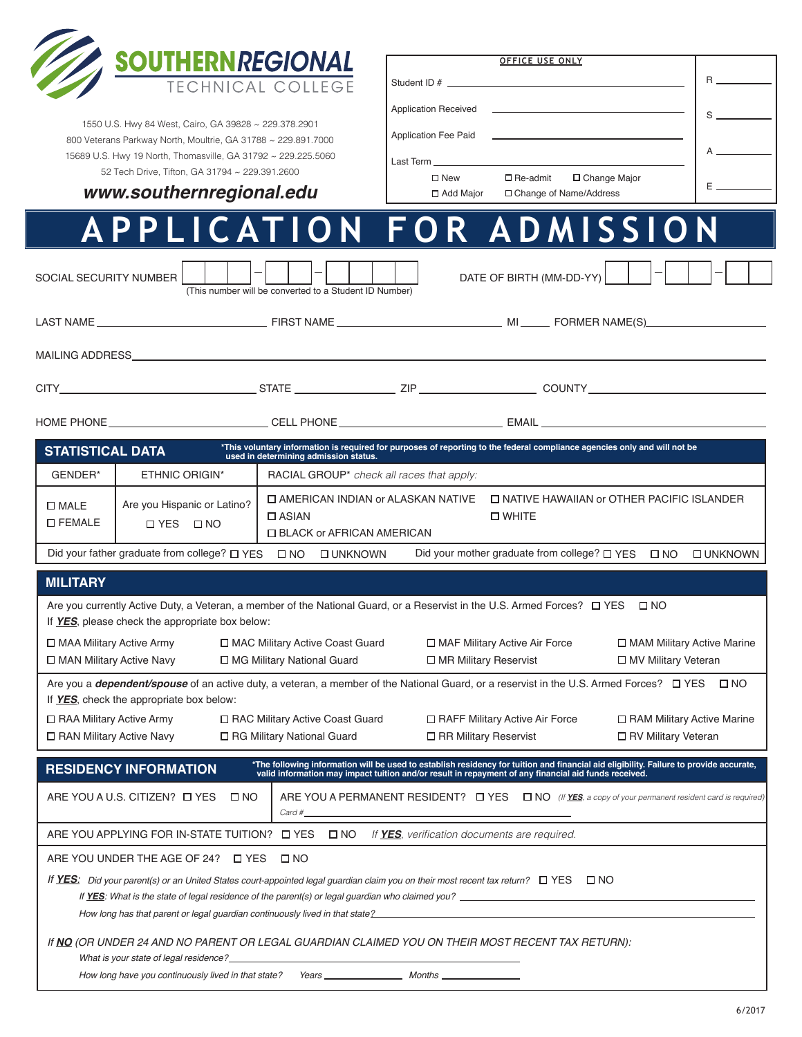

1550 U.S. Hwy 84 West, Cairo, GA 39828 ~ 229.378.2901 800 Veterans Parkway North, Moultrie, GA 31788 ~ 229.891.7000 15689 U.S. Hwy 19 North, Thomasville, GA 31792 ~ 229.225.5060 52 Tech Drive, Tifton, GA 31794 ~ 229.391.2600

| OFFICE USE ONLY                                                                                                                                                                                                               |                          |
|-------------------------------------------------------------------------------------------------------------------------------------------------------------------------------------------------------------------------------|--------------------------|
| Student ID #                                                                                                                                                                                                                  | $R \sim$                 |
| <b>Application Received</b><br>the property of the control of the control of the control of the control of                                                                                                                    |                          |
| <b>Application Fee Paid</b><br><u> 1989 - Andrea Andrew Maria (h. 1989).</u>                                                                                                                                                  |                          |
| Last Term and the contract of the contract of the contract of the contract of the contract of the contract of the contract of the contract of the contract of the contract of the contract of the contract of the contract of | <b>Contract Contract</b> |
| $\square$ New<br>$\square$ Re-admit<br>$\Box$ Change Major                                                                                                                                                                    | <b>Experience</b>        |
| □ Add Major<br>□ Change of Name/Address                                                                                                                                                                                       |                          |

*www.southernregional.edu*

## **APPLICATION FOR ADMISSION**

| SOCIAL SECURITY NUMBER                                                                                                                                                                                  |                                                                                                                                                                                                                                                      | (This number will be converted to a Student ID Number)                                                                                       | DATE OF BIRTH (MM-DD-YY)                                                                                                                                                                                                       |                                                       |  |  |
|---------------------------------------------------------------------------------------------------------------------------------------------------------------------------------------------------------|------------------------------------------------------------------------------------------------------------------------------------------------------------------------------------------------------------------------------------------------------|----------------------------------------------------------------------------------------------------------------------------------------------|--------------------------------------------------------------------------------------------------------------------------------------------------------------------------------------------------------------------------------|-------------------------------------------------------|--|--|
|                                                                                                                                                                                                         |                                                                                                                                                                                                                                                      |                                                                                                                                              |                                                                                                                                                                                                                                |                                                       |  |  |
|                                                                                                                                                                                                         |                                                                                                                                                                                                                                                      |                                                                                                                                              |                                                                                                                                                                                                                                |                                                       |  |  |
|                                                                                                                                                                                                         |                                                                                                                                                                                                                                                      |                                                                                                                                              |                                                                                                                                                                                                                                |                                                       |  |  |
|                                                                                                                                                                                                         |                                                                                                                                                                                                                                                      |                                                                                                                                              | المستقل المستقل المستقل المستقل المستقل المستقل المستقل المستقل المستقل المستقل المستقل المستقل المستقل المستق                                                                                                                 |                                                       |  |  |
| <b>STATISTICAL DATA</b>                                                                                                                                                                                 |                                                                                                                                                                                                                                                      | used in determining admission status.                                                                                                        | *This voluntary information is required for purposes of reporting to the federal compliance agencies only and will not be                                                                                                      |                                                       |  |  |
| GENDER*                                                                                                                                                                                                 | ETHNIC ORIGIN*                                                                                                                                                                                                                                       | RACIAL GROUP <sup>*</sup> check all races that apply:                                                                                        |                                                                                                                                                                                                                                |                                                       |  |  |
| $\square$ MALE<br><b>LIFEMALE</b>                                                                                                                                                                       | Are you Hispanic or Latino?<br>$\Box$ YES $\Box$ NO                                                                                                                                                                                                  | □ NATIVE HAWAIIAN or OTHER PACIFIC ISLANDER<br>□ AMERICAN INDIAN or ALASKAN NATIVE<br>□ WHITE<br>$\Box$ ASIAN<br>□ BLACK or AFRICAN AMERICAN |                                                                                                                                                                                                                                |                                                       |  |  |
| Did your father graduate from college? □ YES □ NO<br>Did your mother graduate from college? □ YES □ NO<br><b>OUNKNOWN</b><br><b>O UNKNOWN</b>                                                           |                                                                                                                                                                                                                                                      |                                                                                                                                              |                                                                                                                                                                                                                                |                                                       |  |  |
| <b>MILITARY</b>                                                                                                                                                                                         |                                                                                                                                                                                                                                                      |                                                                                                                                              |                                                                                                                                                                                                                                |                                                       |  |  |
| Are you currently Active Duty, a Veteran, a member of the National Guard, or a Reservist in the U.S. Armed Forces? □ YES<br>$\square$ NO<br>If YES, please check the appropriate box below:             |                                                                                                                                                                                                                                                      |                                                                                                                                              |                                                                                                                                                                                                                                |                                                       |  |  |
|                                                                                                                                                                                                         | □ MAA Military Active Army<br>□ MAC Military Active Coast Guard<br>□ MAF Military Active Air Force<br>□ MAM Military Active Marine<br>□ MAN Military Active Navy<br>□ MG Military National Guard<br>□ MR Military Reservist<br>□ MV Military Veteran |                                                                                                                                              |                                                                                                                                                                                                                                |                                                       |  |  |
| Are you a <i>dependent/spouse</i> of an active duty, a veteran, a member of the National Guard, or a reservist in the U.S. Armed Forces? □ YES □ NO<br>If <b>YES</b> , check the appropriate box below: |                                                                                                                                                                                                                                                      |                                                                                                                                              |                                                                                                                                                                                                                                |                                                       |  |  |
| $\Box$ RAA Military Active Army<br>□ RAN Military Active Navy                                                                                                                                           |                                                                                                                                                                                                                                                      | □ RAC Military Active Coast Guard<br>□ RG Military National Guard                                                                            | □ RAFF Military Active Air Force<br>□ RR Military Reservist                                                                                                                                                                    | □ RAM Military Active Marine<br>□ RV Military Veteran |  |  |
|                                                                                                                                                                                                         | <b>RESIDENCY INFORMATION</b>                                                                                                                                                                                                                         |                                                                                                                                              | *The following information will be used to establish residency for tuition and financial aid eligibility. Failure to provide accurate, valid information may impact tuition and/or result in repayment of any financial aid fu |                                                       |  |  |
| ARE YOU A U.S. CITIZEN? IT YES<br>ARE YOU A PERMANENT RESIDENT? $\Box$ YES $\Box$ NO (If YES, a copy of your permanent resident card is required)<br>$\square$ NO<br>$Card \#$                          |                                                                                                                                                                                                                                                      |                                                                                                                                              |                                                                                                                                                                                                                                |                                                       |  |  |
|                                                                                                                                                                                                         |                                                                                                                                                                                                                                                      |                                                                                                                                              | ARE YOU APPLYING FOR IN-STATE TUITION? $\Box$ YES $\Box$ NO If <b>YES</b> , verification documents are required.                                                                                                               |                                                       |  |  |
|                                                                                                                                                                                                         | ARE YOU UNDER THE AGE OF 24?  I YES                                                                                                                                                                                                                  | $\Box$ NO                                                                                                                                    |                                                                                                                                                                                                                                |                                                       |  |  |
| If <b>YES</b> : Did your parent(s) or an United States court-appointed legal quardian claim you on their most recent tax return? $\Box$ YES $\Box$ NO                                                   |                                                                                                                                                                                                                                                      |                                                                                                                                              |                                                                                                                                                                                                                                |                                                       |  |  |
| If <b>YES</b> : What is the state of legal residence of the parent(s) or legal guardian who claimed you?<br>How long has that parent or legal guardian continuously lived in that state?                |                                                                                                                                                                                                                                                      |                                                                                                                                              |                                                                                                                                                                                                                                |                                                       |  |  |
| If NO (OR UNDER 24 AND NO PARENT OR LEGAL GUARDIAN CLAIMED YOU ON THEIR MOST RECENT TAX RETURN):<br>What is your state of legal residence?                                                              |                                                                                                                                                                                                                                                      |                                                                                                                                              |                                                                                                                                                                                                                                |                                                       |  |  |

How long have you continuously lived in that state? Years \_\_\_\_\_\_\_\_\_\_\_\_\_\_\_\_\_\_\_\_\_\_ Months \_\_